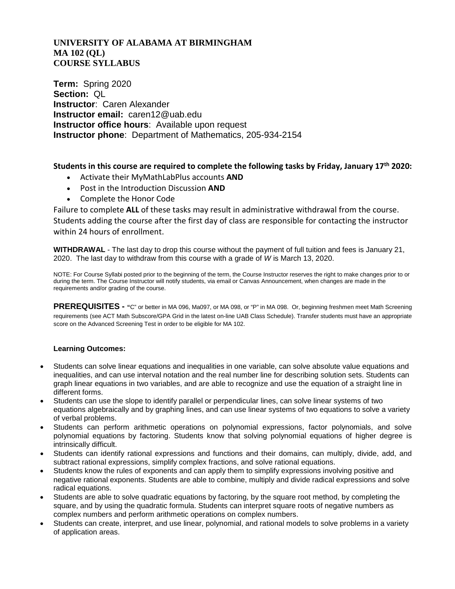## **UNIVERSITY OF ALABAMA AT BIRMINGHAM MA 102 (QL) COURSE SYLLABUS**

**Term:** Spring 2020 **Section:** QL **Instructor**: Caren Alexander **Instructor email:** caren12@uab.edu **Instructor office hours**: Available upon request **Instructor phone**: Department of Mathematics, 205-934-2154

## **Students in this course are required to complete the following tasks by Friday, January 17th 2020:**

- Activate their MyMathLabPlus accounts **AND**
- Post in the Introduction Discussion **AND**
- Complete the Honor Code

Failure to complete **ALL** of these tasks may result in administrative withdrawal from the course. Students adding the course after the first day of class are responsible for contacting the instructor within 24 hours of enrollment.

**WITHDRAWAL** - The last day to drop this course without the payment of full tuition and fees is January 21, 2020. The last day to withdraw from this course with a grade of *W* is March 13, 2020.

NOTE: For Course Syllabi posted prior to the beginning of the term, the Course Instructor reserves the right to make changes prior to or during the term. The Course Instructor will notify students, via email or Canvas Announcement, when changes are made in the requirements and/or grading of the course.

**PREREQUISITES - "**C" or better in MA 096, Ma097, or MA 098, or "P" in MA 098. Or, beginning freshmen meet Math Screening requirements (see ACT Math Subscore/GPA Grid in the latest on-line UAB Class Schedule). Transfer students must have an appropriate score on the Advanced Screening Test in order to be eligible for MA 102.

## **Learning Outcomes:**

- Students can solve linear equations and inequalities in one variable, can solve absolute value equations and inequalities, and can use interval notation and the real number line for describing solution sets. Students can graph linear equations in two variables, and are able to recognize and use the equation of a straight line in different forms.
- Students can use the slope to identify parallel or perpendicular lines, can solve linear systems of two equations algebraically and by graphing lines, and can use linear systems of two equations to solve a variety of verbal problems.
- Students can perform arithmetic operations on polynomial expressions, factor polynomials, and solve polynomial equations by factoring. Students know that solving polynomial equations of higher degree is intrinsically difficult.
- Students can identify rational expressions and functions and their domains, can multiply, divide, add, and subtract rational expressions, simplify complex fractions, and solve rational equations.
- Students know the rules of exponents and can apply them to simplify expressions involving positive and negative rational exponents. Students are able to combine, multiply and divide radical expressions and solve radical equations.
- Students are able to solve quadratic equations by factoring, by the square root method, by completing the square, and by using the quadratic formula. Students can interpret square roots of negative numbers as complex numbers and perform arithmetic operations on complex numbers.
- Students can create, interpret, and use linear, polynomial, and rational models to solve problems in a variety of application areas.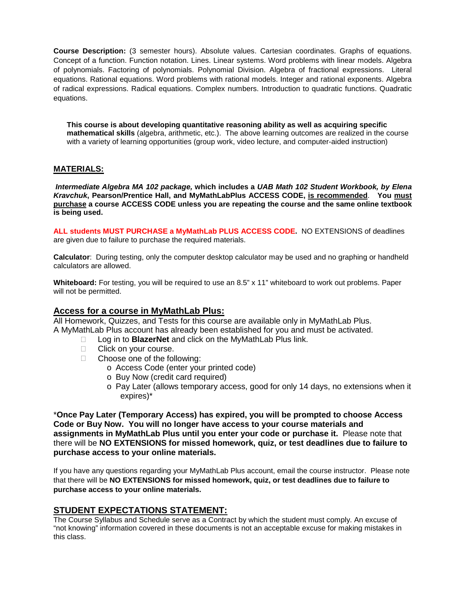**Course Description:** (3 semester hours). Absolute values. Cartesian coordinates. Graphs of equations. Concept of a function. Function notation. Lines. Linear systems. Word problems with linear models. Algebra of polynomials. Factoring of polynomials. Polynomial Division. Algebra of fractional expressions. Literal equations. Rational equations. Word problems with rational models. Integer and rational exponents. Algebra of radical expressions. Radical equations. Complex numbers. Introduction to quadratic functions. Quadratic equations.

**This course is about developing quantitative reasoning ability as well as acquiring specific mathematical skills** (algebra, arithmetic, etc.). The above learning outcomes are realized in the course with a variety of learning opportunities (group work, video lecture, and computer-aided instruction)

## **MATERIALS:**

*Intermediate Algebra MA 102 package,* **which includes a** *UAB Math 102 Student Workbook, by Elena Kravchuk***, Pearson/Prentice Hall, and MyMathLabPlus ACCESS CODE, is recommended**. **You must purchase a course ACCESS CODE unless you are repeating the course and the same online textbook is being used.**

**ALL students MUST PURCHASE a MyMathLab PLUS ACCESS CODE.** NO EXTENSIONS of deadlines are given due to failure to purchase the required materials.

**Calculator**: During testing, only the computer desktop calculator may be used and no graphing or handheld calculators are allowed.

**Whiteboard:** For testing, you will be required to use an 8.5" x 11" whiteboard to work out problems. Paper will not be permitted.

## **Access for a course in MyMathLab Plus:**

All Homework, Quizzes, and Tests for this course are available only in MyMathLab Plus. A MyMathLab Plus account has already been established for you and must be activated.

- □ Log in to **BlazerNet** and click on the MyMathLab Plus link.
- □ Click on your course.
- □ Choose one of the following:
	- o Access Code (enter your printed code)
	- o Buy Now (credit card required)
	- o Pay Later (allows temporary access, good for only 14 days, no extensions when it expires)\*

\***Once Pay Later (Temporary Access) has expired, you will be prompted to choose Access Code or Buy Now. You will no longer have access to your course materials and assignments in MyMathLab Plus until you enter your code or purchase it.** Please note that there will be **NO EXTENSIONS for missed homework, quiz, or test deadlines due to failure to purchase access to your online materials.**

If you have any questions regarding your MyMathLab Plus account, email the course instructor. Please note that there will be **NO EXTENSIONS for missed homework, quiz, or test deadlines due to failure to purchase access to your online materials.**

## **STUDENT EXPECTATIONS STATEMENT:**

The Course Syllabus and Schedule serve as a Contract by which the student must comply. An excuse of "not knowing" information covered in these documents is not an acceptable excuse for making mistakes in this class.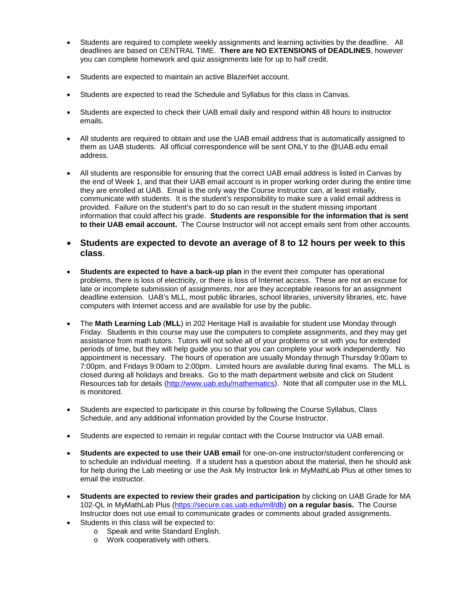- Students are required to complete weekly assignments and learning activities by the deadline. All deadlines are based on CENTRAL TIME. **There are NO EXTENSIONS of DEADLINES**, however you can complete homework and quiz assignments late for up to half credit.
- Students are expected to maintain an active BlazerNet account.
- Students are expected to read the Schedule and Syllabus for this class in Canvas.
- Students are expected to check their UAB email daily and respond within 48 hours to instructor emails.
- All students are required to obtain and use the UAB email address that is automatically assigned to them as UAB students. All official correspondence will be sent ONLY to the @UAB.edu email address.
- All students are responsible for ensuring that the correct UAB email address is listed in Canvas by the end of Week 1, and that their UAB email account is in proper working order during the entire time they are enrolled at UAB. Email is the only way the Course Instructor can, at least initially, communicate with students. It is the student's responsibility to make sure a valid email address is provided. Failure on the student's part to do so can result in the student missing important information that could affect his grade. **Students are responsible for the information that is sent to their UAB email account.** The Course Instructor will not accept emails sent from other accounts.
- **Students are expected to devote an average of 8 to 12 hours per week to this class**.
- **Students are expected to have a back-up plan** in the event their computer has operational problems, there is loss of electricity, or there is loss of Internet access. These are not an excuse for late or incomplete submission of assignments, nor are they acceptable reasons for an assignment deadline extension. UAB's MLL, most public libraries, school libraries, university libraries, etc. have computers with Internet access and are available for use by the public.
- The **Math Learning Lab** (**MLL**) in 202 Heritage Hall is available for student use Monday through Friday. Students in this course may use the computers to complete assignments, and they may get assistance from math tutors. Tutors will not solve all of your problems or sit with you for extended periods of time, but they will help guide you so that you can complete your work independently. No appointment is necessary. The hours of operation are usually Monday through Thursday 9:00am to 7:00pm, and Fridays 9:00am to 2:00pm. Limited hours are available during final exams. The MLL is closed during all holidays and breaks. Go to the math department website and click on Student Resources tab for details [\(http://www.uab.edu/mathematics\)](http://www.uab.edu/mathematics). Note that all computer use in the MLL is monitored.
- Students are expected to participate in this course by following the Course Syllabus, Class Schedule, and any additional information provided by the Course Instructor.
- Students are expected to remain in regular contact with the Course Instructor via UAB email.
- **Students are expected to use their UAB email** for one-on-one instructor/student conferencing or to schedule an individual meeting. If a student has a question about the material, then he should ask for help during the Lab meeting or use the Ask My Instructor link in MyMathLab Plus at other times to email the instructor.
- **Students are expected to review their grades and participation** by clicking on UAB Grade for MA 102-QL in MyMathLab Plus [\(https://secure.cas.uab.edu/mll/db\)](https://secure.cas.uab.edu/mll/db) **on a regular basis.** The Course Instructor does not use email to communicate grades or comments about graded assignments.
- Students in this class will be expected to:
	- o Speak and write Standard English.
	- o Work cooperatively with others.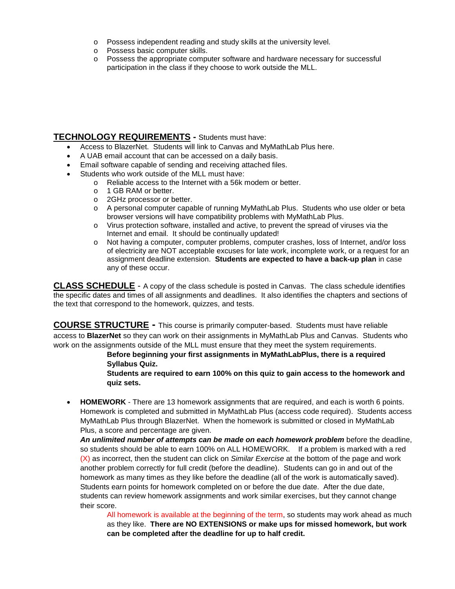- o Possess independent reading and study skills at the university level.
- o Possess basic computer skills.
- o Possess the appropriate computer software and hardware necessary for successful participation in the class if they choose to work outside the MLL.

# **TECHNOLOGY REQUIREMENTS -** Students must have:

- Access to BlazerNet. Students will link to Canvas and MyMathLab Plus here.
- A UAB email account that can be accessed on a daily basis.
- Email software capable of sending and receiving attached files.
- Students who work outside of the MLL must have:
	- o Reliable access to the Internet with a 56k modem or better.
	- o 1 GB RAM or better.<br>o 2GHz processor or be
	-
	- o 2GHz processor or better.<br>
	o A personal computer capa A personal computer capable of running MyMathLab Plus. Students who use older or beta browser versions will have compatibility problems with MyMathLab Plus.
	- o Virus protection software, installed and active, to prevent the spread of viruses via the Internet and email. It should be continually updated!
	- o Not having a computer, computer problems, computer crashes, loss of Internet, and/or loss of electricity are NOT acceptable excuses for late work, incomplete work, or a request for an assignment deadline extension. **Students are expected to have a back-up plan** in case any of these occur.

**CLASS SCHEDULE** - A copy of the class schedule is posted in Canvas. The class schedule identifies the specific dates and times of all assignments and deadlines. It also identifies the chapters and sections of the text that correspond to the homework, quizzes, and tests.

**COURSE STRUCTURE -** This course is primarily computer-based. Students must have reliable access to **BlazerNet** so they can work on their assignments in MyMathLab Plus and Canvas. Students who work on the assignments outside of the MLL must ensure that they meet the system requirements.

**Before beginning your first assignments in MyMathLabPlus, there is a required Syllabus Quiz.**

**Students are required to earn 100% on this quiz to gain access to the homework and quiz sets.** 

• **HOMEWORK** - There are 13 homework assignments that are required, and each is worth 6 points. Homework is completed and submitted in MyMathLab Plus (access code required). Students access MyMathLab Plus through BlazerNet. When the homework is submitted or closed in MyMathLab Plus, a score and percentage are given.

An unlimited number of attempts can be made on each homework problem before the deadline, so students should be able to earn 100% on ALL HOMEWORK. If a problem is marked with a red (X) as incorrect, then the student can click on *Similar Exercise* at the bottom of the page and work another problem correctly for full credit (before the deadline). Students can go in and out of the homework as many times as they like before the deadline (all of the work is automatically saved). Students earn points for homework completed on or before the due date. After the due date, students can review homework assignments and work similar exercises, but they cannot change their score.

All homework is available at the beginning of the term, so students may work ahead as much as they like. **There are NO EXTENSIONS or make ups for missed homework, but work can be completed after the deadline for up to half credit.**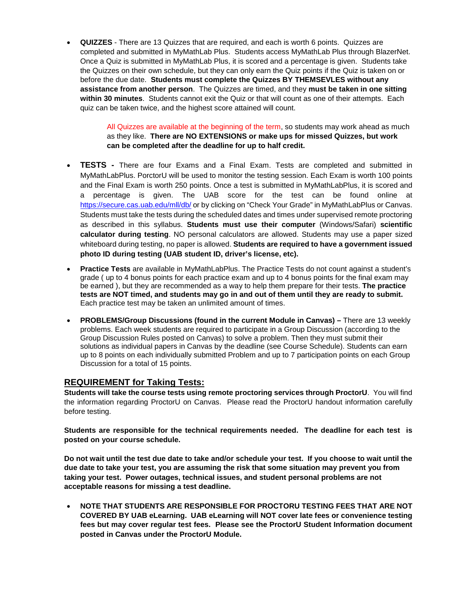• **QUIZZES** - There are 13 Quizzes that are required, and each is worth 6 points. Quizzes are completed and submitted in MyMathLab Plus. Students access MyMathLab Plus through BlazerNet. Once a Quiz is submitted in MyMathLab Plus, it is scored and a percentage is given. Students take the Quizzes on their own schedule, but they can only earn the Quiz points if the Quiz is taken on or before the due date. **Students must complete the Quizzes BY THEMSEVLES without any assistance from another person**. The Quizzes are timed, and they **must be taken in one sitting within 30 minutes**. Students cannot exit the Quiz or that will count as one of their attempts. Each quiz can be taken twice, and the highest score attained will count.

> All Quizzes are available at the beginning of the term, so students may work ahead as much as they like. **There are NO EXTENSIONS or make ups for missed Quizzes, but work can be completed after the deadline for up to half credit.**

- **TESTS -** There are four Exams and a Final Exam. Tests are completed and submitted in MyMathLabPlus. PorctorU will be used to monitor the testing session. Each Exam is worth 100 points and the Final Exam is worth 250 points. Once a test is submitted in MyMathLabPlus, it is scored and a percentage is given. The UAB score for the test can be found online at <https://secure.cas.uab.edu/mll/db/> or by clicking on "Check Your Grade" in MyMathLabPlus or Canvas. Students must take the tests during the scheduled dates and times under supervised remote proctoring as described in this syllabus. **Students must use their computer** (Windows/Safari) **scientific calculator during testing**. NO personal calculators are allowed. Students may use a paper sized whiteboard during testing, no paper is allowed. **Students are required to have a government issued photo ID during testing (UAB student ID, driver's license, etc).**
- **Practice Tests** are available in MyMathLabPlus. The Practice Tests do not count against a student's grade ( up to 4 bonus points for each practice exam and up to 4 bonus points for the final exam may be earned ), but they are recommended as a way to help them prepare for their tests. **The practice tests are NOT timed, and students may go in and out of them until they are ready to submit.**  Each practice test may be taken an unlimited amount of times.
- **PROBLEMS/Group Discussions (found in the current Module in Canvas) –** There are 13 weekly problems. Each week students are required to participate in a Group Discussion (according to the Group Discussion Rules posted on Canvas) to solve a problem. Then they must submit their solutions as individual papers in Canvas by the deadline (see Course Schedule). Students can earn up to 8 points on each individually submitted Problem and up to 7 participation points on each Group Discussion for a total of 15 points.

# **REQUIREMENT for Taking Tests:**

**Students will take the course tests using remote proctoring services through ProctorU**. You will find the information regarding ProctorU on Canvas. Please read the ProctorU handout information carefully before testing.

**Students are responsible for the technical requirements needed. The deadline for each test is posted on your course schedule.**

**Do not wait until the test due date to take and/or schedule your test. If you choose to wait until the due date to take your test, you are assuming the risk that some situation may prevent you from taking your test. Power outages, technical issues, and student personal problems are not acceptable reasons for missing a test deadline.**

• **NOTE THAT STUDENTS ARE RESPONSIBLE FOR PROCTORU TESTING FEES THAT ARE NOT COVERED BY UAB eLearning. UAB eLearning will NOT cover late fees or convenience testing fees but may cover regular test fees. Please see the ProctorU Student Information document posted in Canvas under the ProctorU Module.**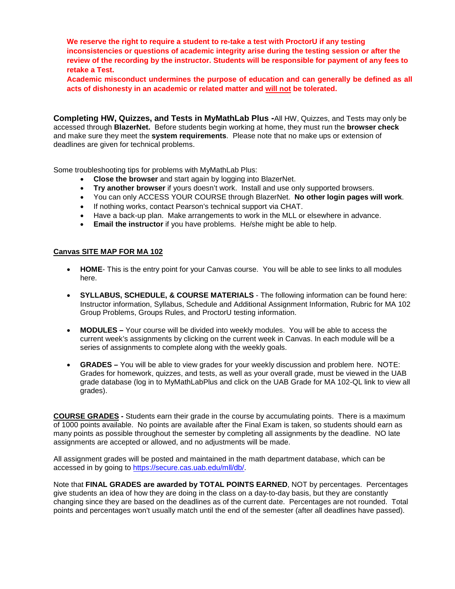**We reserve the right to require a student to re-take a test with ProctorU if any testing inconsistencies or questions of academic integrity arise during the testing session or after the review of the recording by the instructor. Students will be responsible for payment of any fees to retake a Test.**

**Academic misconduct undermines the purpose of education and can generally be defined as all acts of dishonesty in an academic or related matter and will not be tolerated.**

**Completing HW, Quizzes, and Tests in MyMathLab Plus -**All HW, Quizzes, and Tests may only be accessed through **BlazerNet.** Before students begin working at home, they must run the **browser check** and make sure they meet the **system requirements**. Please note that no make ups or extension of deadlines are given for technical problems.

Some troubleshooting tips for problems with MyMathLab Plus:

- **Close the browser** and start again by logging into BlazerNet.
- **Try another browser** if yours doesn't work. Install and use only supported browsers.
- You can only ACCESS YOUR COURSE through BlazerNet. **No other login pages will work**.
- If nothing works, contact Pearson's technical support via CHAT.
- Have a back-up plan. Make arrangements to work in the MLL or elsewhere in advance.
- **Email the instructor** if you have problems. He/she might be able to help.

#### **Canvas SITE MAP FOR MA 102**

- **HOME** This is the entry point for your Canvas course. You will be able to see links to all modules here.
- **SYLLABUS, SCHEDULE, & COURSE MATERIALS** The following information can be found here: Instructor information, Syllabus, Schedule and Additional Assignment Information, Rubric for MA 102 Group Problems, Groups Rules, and ProctorU testing information.
- **MODULES –** Your course will be divided into weekly modules. You will be able to access the current week's assignments by clicking on the current week in Canvas. In each module will be a series of assignments to complete along with the weekly goals.
- **GRADES –** You will be able to view grades for your weekly discussion and problem here. NOTE: Grades for homework, quizzes, and tests, as well as your overall grade, must be viewed in the UAB grade database (log in to MyMathLabPlus and click on the UAB Grade for MA 102-QL link to view all grades).

**COURSE GRADES -** Students earn their grade in the course by accumulating points. There is a maximum of 1000 points available. No points are available after the Final Exam is taken, so students should earn as many points as possible throughout the semester by completing all assignments by the deadline. NO late assignments are accepted or allowed, and no adjustments will be made.

All assignment grades will be posted and maintained in the math department database, which can be accessed in by going to [https://secure.cas.uab.edu/mll/db/.](https://secure.cas.uab.edu/mll/db/)

Note that **FINAL GRADES are awarded by TOTAL POINTS EARNED**, NOT by percentages. Percentages give students an idea of how they are doing in the class on a day-to-day basis, but they are constantly changing since they are based on the deadlines as of the current date. Percentages are not rounded. Total points and percentages won't usually match until the end of the semester (after all deadlines have passed).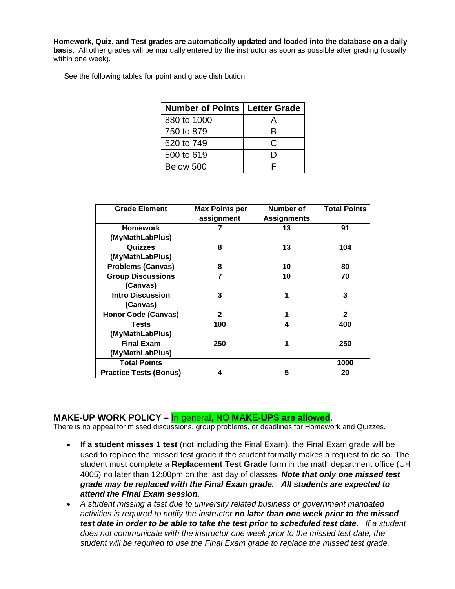**Homework, Quiz, and Test grades are automatically updated and loaded into the database on a daily basis**. All other grades will be manually entered by the instructor as soon as possible after grading (usually within one week).

See the following tables for point and grade distribution:

| <b>Number of Points   Letter Grade</b> |    |  |
|----------------------------------------|----|--|
| 880 to 1000                            |    |  |
| 750 to 879                             | R  |  |
| 620 to 749                             | C. |  |
| 500 to 619                             | נו |  |
| Below 500                              |    |  |

| <b>Grade Element</b>          | <b>Max Points per</b> | Number of          | <b>Total Points</b> |
|-------------------------------|-----------------------|--------------------|---------------------|
|                               | assignment            | <b>Assignments</b> |                     |
| <b>Homework</b>               |                       | 13                 | 91                  |
| (MyMathLabPlus)               |                       |                    |                     |
| Quizzes                       | 8                     | 13                 | 104                 |
| (MyMathLabPlus)               |                       |                    |                     |
| <b>Problems (Canvas)</b>      | 8                     | 10                 | 80                  |
| <b>Group Discussions</b>      | 7                     | 10                 | 70                  |
| (Canvas)                      |                       |                    |                     |
| <b>Intro Discussion</b>       | 3                     | 1                  | 3                   |
| (Canvas)                      |                       |                    |                     |
| <b>Honor Code (Canvas)</b>    | $\mathbf{2}$          | 1                  | $\mathbf{2}$        |
| <b>Tests</b>                  | 100                   | 4                  | 400                 |
| (MyMathLabPlus)               |                       |                    |                     |
| <b>Final Exam</b>             | 250                   | 1                  | 250                 |
| (MyMathLabPlus)               |                       |                    |                     |
| <b>Total Points</b>           |                       |                    | 1000                |
| <b>Practice Tests (Bonus)</b> | 4                     | 5                  | 20                  |

# **MAKE-UP WORK POLICY – In general, NO MAKE-UPS are allowed.**<br>There is no appeal for missed discussions, group problems, or deadlines for Homework and Quizzes.

- **If a student misses 1 test** (not including the Final Exam), the Final Exam grade will be used to replace the missed test grade if the student formally makes a request to do so. The student must complete a **Replacement Test Grade** form in the math department office (UH 4005) no later than 12:00pm on the last day of classes. *Note that only one missed test grade may be replaced with the Final Exam grade. All students are expected to attend the Final Exam session.*
- *A student missing a test due to university related business or government mandated activities is required to notify the instructor no later than one week prior to the missed test date in order to be able to take the test prior to scheduled test date. If a student does not communicate with the instructor one week prior to the missed test date, the student will be required to use the Final Exam grade to replace the missed test grade.*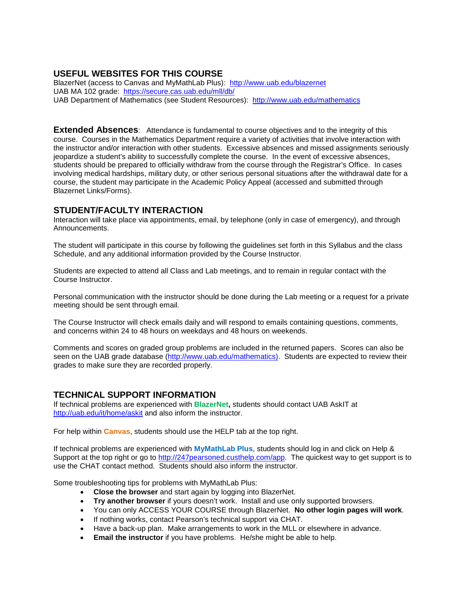# **USEFUL WEBSITES FOR THIS COURSE**

BlazerNet (access to Canvas and MyMathLab Plus): <http://www.uab.edu/blazernet> UAB MA 102 grade: <https://secure.cas.uab.edu/mll/db/> UAB Department of Mathematics (see Student Resources): <http://www.uab.edu/mathematics>

**Extended Absences**: Attendance is fundamental to course objectives and to the integrity of this course. Courses in the Mathematics Department require a variety of activities that involve interaction with the instructor and/or interaction with other students. Excessive absences and missed assignments seriously jeopardize a student's ability to successfully complete the course. In the event of excessive absences, students should be prepared to officially withdraw from the course through the Registrar's Office. In cases involving medical hardships, military duty, or other serious personal situations after the withdrawal date for a course, the student may participate in the Academic Policy Appeal (accessed and submitted through Blazernet Links/Forms).

## **STUDENT/FACULTY INTERACTION**

Interaction will take place via appointments, email, by telephone (only in case of emergency), and through Announcements.

The student will participate in this course by following the guidelines set forth in this Syllabus and the class Schedule, and any additional information provided by the Course Instructor.

Students are expected to attend all Class and Lab meetings, and to remain in regular contact with the Course Instructor.

Personal communication with the instructor should be done during the Lab meeting or a request for a private meeting should be sent through email.

The Course Instructor will check emails daily and will respond to emails containing questions, comments, and concerns within 24 to 48 hours on weekdays and 48 hours on weekends.

Comments and scores on graded group problems are included in the returned papers. Scores can also be seen on the UAB grade database [\(http://www.uab.edu/mathematics\)](http://www.uab.edu/mathematics). Students are expected to review their grades to make sure they are recorded properly.

## **TECHNICAL SUPPORT INFORMATION**

If technical problems are experienced with **BlazerNet,** students should contact UAB AskIT at <http://uab.edu/it/home/askit> and also inform the instructor.

For help within **Canvas**, students should use the HELP tab at the top right.

If technical problems are experienced with **MyMathLab Plus**, students should log in and click on Help & Support at the top right or go to [http://247pearsoned.custhelp.com/app.](http://247pearsoned.custhelp.com/app) The quickest way to get support is to use the CHAT contact method. Students should also inform the instructor.

Some troubleshooting tips for problems with MyMathLab Plus:

- **Close the browser** and start again by logging into BlazerNet.
- **Try another browser** if yours doesn't work. Install and use only supported browsers.
- You can only ACCESS YOUR COURSE through BlazerNet. **No other login pages will work**.
- If nothing works, contact Pearson's technical support via CHAT.
- Have a back-up plan. Make arrangements to work in the MLL or elsewhere in advance.
- **Email the instructor** if you have problems. He/she might be able to help.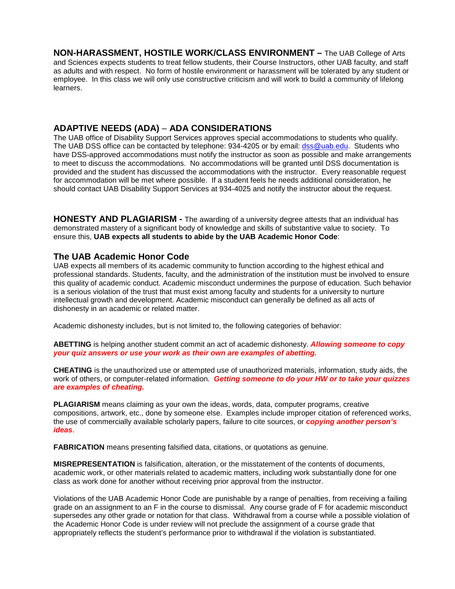**NON-HARASSMENT, HOSTILE WORK/CLASS ENVIRONMENT –** The UAB College of Arts and Sciences expects students to treat fellow students, their Course Instructors, other UAB faculty, and staff as adults and with respect. No form of hostile environment or harassment will be tolerated by any student or employee. In this class we will only use constructive criticism and will work to build a community of lifelong learners.

## **ADAPTIVE NEEDS (ADA)** – **ADA CONSIDERATIONS**

The UAB office of Disability Support Services approves special accommodations to students who qualify. The UAB DSS office can be contacted by telephone: 934-4205 or by email: [dss@uab.edu.](mailto:dss@uab.edu) Students who have DSS-approved accommodations must notify the instructor as soon as possible and make arrangements to meet to discuss the accommodations. No accommodations will be granted until DSS documentation is provided and the student has discussed the accommodations with the instructor. Every reasonable request for accommodation will be met where possible. If a student feels he needs additional consideration, he should contact UAB Disability Support Services at 934-4025 and notify the instructor about the request.

**HONESTY AND PLAGIARISM -** The awarding of a university degree attests that an individual has demonstrated mastery of a significant body of knowledge and skills of substantive value to society. To ensure this, **UAB expects all students to abide by the UAB Academic Honor Code**:

## **The UAB Academic Honor Code**

UAB expects all members of its academic community to function according to the highest ethical and professional standards. Students, faculty, and the administration of the institution must be involved to ensure this quality of academic conduct. Academic misconduct undermines the purpose of education. Such behavior is a serious violation of the trust that must exist among faculty and students for a university to nurture intellectual growth and development. Academic misconduct can generally be defined as all acts of dishonesty in an academic or related matter.

Academic dishonesty includes, but is not limited to, the following categories of behavior:

**ABETTING** is helping another student commit an act of academic dishonesty. *Allowing someone to copy your quiz answers or use your work as their own are examples of abetting.*

**CHEATING** is the unauthorized use or attempted use of unauthorized materials, information, study aids, the work of others, or computer-related information. *Getting someone to do your HW or to take your quizzes are examples of cheating.*

**PLAGIARISM** means claiming as your own the ideas, words, data, computer programs, creative compositions, artwork, etc., done by someone else. Examples include improper citation of referenced works, the use of commercially available scholarly papers, failure to cite sources, or *copying another person's ideas*.

**FABRICATION** means presenting falsified data, citations, or quotations as genuine.

**MISREPRESENTATION** is falsification, alteration, or the misstatement of the contents of documents, academic work, or other materials related to academic matters, including work substantially done for one class as work done for another without receiving prior approval from the instructor.

Violations of the UAB Academic Honor Code are punishable by a range of penalties, from receiving a failing grade on an assignment to an F in the course to dismissal. Any course grade of F for academic misconduct supersedes any other grade or notation for that class. Withdrawal from a course while a possible violation of the Academic Honor Code is under review will not preclude the assignment of a course grade that appropriately reflects the student's performance prior to withdrawal if the violation is substantiated.